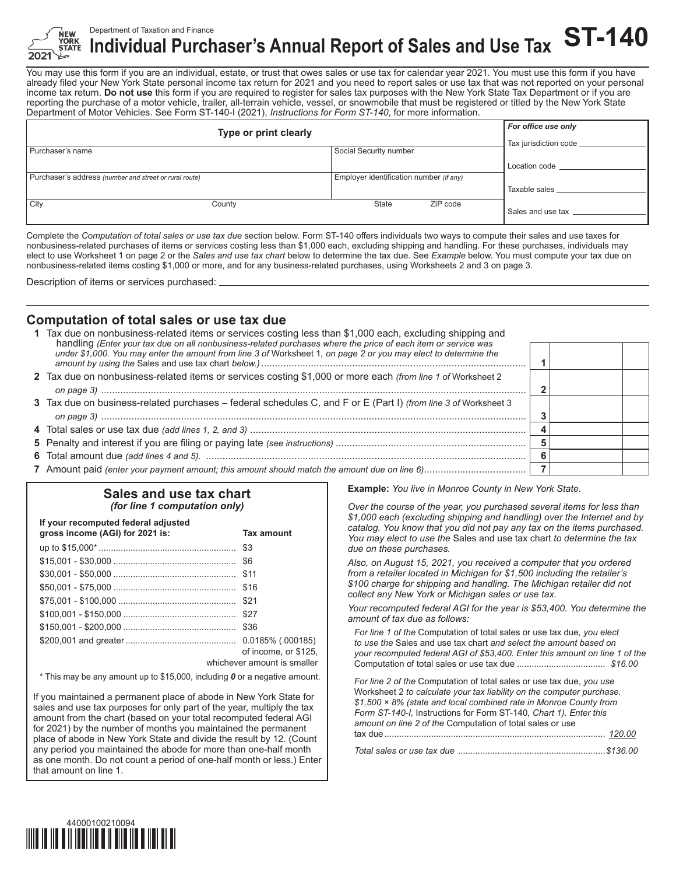

You may use this form if you are an individual, estate, or trust that owes sales or use tax for calendar year 2021. You must use this form if you have already filed your New York State personal income tax return for 2021 and you need to report sales or use tax that was not reported on your personal income tax return. **Do not use** this form if you are required to register for sales tax purposes with the New York State Tax Department or if you are reporting the purchase of a motor vehicle, trailer, all-terrain vehicle, vessel, or snowmobile that must be registered or titled by the New York State Department of Motor Vehicles. See Form ST-140-I (2021), *Instructions for Form ST-140*, for more information.

|                                                        | For office use only |                                         |          |                       |
|--------------------------------------------------------|---------------------|-----------------------------------------|----------|-----------------------|
| Purchaser's name                                       |                     | Social Security number                  |          | Tax jurisdiction code |
|                                                        |                     |                                         |          | Location code         |
| Purchaser's address (number and street or rural route) |                     | Employer identification number (if any) |          |                       |
|                                                        |                     |                                         |          | Taxable sales         |
| City                                                   | County              | <b>State</b>                            | ZIP code | Sales and use tax     |

Complete the *Computation of total sales or use tax due* section below. Form ST-140 offers individuals two ways to compute their sales and use taxes for nonbusiness-related purchases of items or services costing less than \$1,000 each, excluding shipping and handling. For these purchases, individuals may elect to use Worksheet 1 on page 2 or the *Sales and use tax chart* below to determine the tax due. See *Example* below. You must compute your tax due on nonbusiness-related items costing \$1,000 or more, and for any business-related purchases, using Worksheets 2 and 3 on page 3.

Description of items or services purchased:

# **Computation of total sales or use tax due**

| 1 Tax due on nonbusiness-related items or services costing less than \$1,000 each, excluding shipping and<br>handling (Enter your tax due on all nonbusiness-related purchases where the price of each item or service was |  |  |
|----------------------------------------------------------------------------------------------------------------------------------------------------------------------------------------------------------------------------|--|--|
| under \$1,000. You may enter the amount from line 3 of Worksheet 1, on page 2 or you may elect to determine the                                                                                                            |  |  |
| 2 Tax due on nonbusiness-related items or services costing \$1,000 or more each (from line 1 of Worksheet 2                                                                                                                |  |  |
|                                                                                                                                                                                                                            |  |  |
| 3 Tax due on business-related purchases - federal schedules C, and F or E (Part I) (from line 3 of Worksheet 3                                                                                                             |  |  |
|                                                                                                                                                                                                                            |  |  |
|                                                                                                                                                                                                                            |  |  |
|                                                                                                                                                                                                                            |  |  |
|                                                                                                                                                                                                                            |  |  |
|                                                                                                                                                                                                                            |  |  |

# **Sales and use tax chart** *(for line 1 computation only)*

| If your recomputed federal adjusted<br>gross income (AGI) for 2021 is: | <b>Tax amount</b>           |
|------------------------------------------------------------------------|-----------------------------|
|                                                                        |                             |
|                                                                        | \$6                         |
|                                                                        |                             |
|                                                                        | \$16                        |
|                                                                        | \$21                        |
|                                                                        | \$27                        |
|                                                                        | \$36                        |
|                                                                        | of income, or \$125,        |
|                                                                        | whichever amount is smaller |

\* This may be any amount up to \$15,000, including *0* or a negative amount.

If you maintained a permanent place of abode in New York State for sales and use tax purposes for only part of the year, multiply the tax amount from the chart (based on your total recomputed federal AGI for 2021) by the number of months you maintained the permanent place of abode in New York State and divide the result by 12. (Count any period you maintained the abode for more than one-half month as one month. Do not count a period of one-half month or less.) Enter that amount on line 1.

**Example:** *You live in Monroe County in New York State*.

*Over the course of the year, you purchased several items for less than \$1,000 each (excluding shipping and handling) over the Internet and by catalog. You know that you did not pay any tax on the items purchased. You may elect to use the* Sales and use tax chart *to determine the tax due on these purchases.* 

*Also, on August 15, 2021, you received a computer that you ordered from a retailer located in Michigan for \$1,500 including the retailer's \$100 charge for shipping and handling. The Michigan retailer did not collect any New York or Michigan sales or use tax.*

*Your recomputed federal AGI for the year is \$53,400. You determine the amount of tax due as follows:*

*For line 1 of the* Computation of total sales or use tax due*, you elect to use the* Sales and use tax chart *and select the amount based on your recomputed federal AGI of \$53,400. Enter this amount on line 1 of the*  Computation of total sales or use tax due .................................... *\$16.00*

*For line 2 of the* Computation of total sales or use tax due, *you use*  Worksheet 2 *to calculate your tax liability on the computer purchase. \$1,500 × 8% (state and local combined rate in Monroe County from Form ST-140-I,* Instructions for Form ST-140*, Chart 1). Enter this amount on line 2 of the* Computation of total sales or use tax due.......................................................................................... *120.00*

|--|

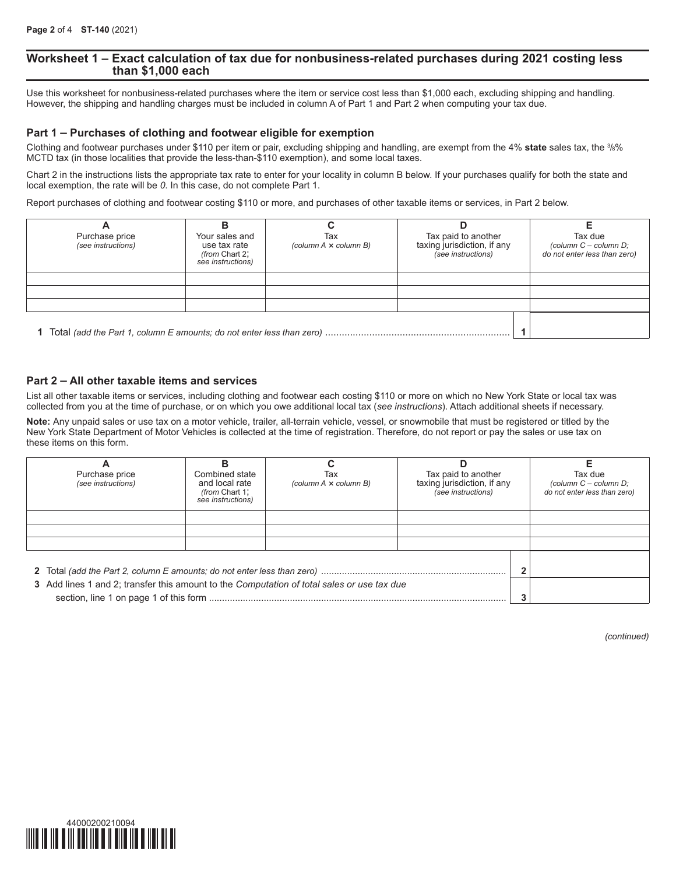# **Worksheet 1 – Exact calculation of tax due for nonbusiness-related purchases during 2021 costing less than \$1,000 each**

Use this worksheet for nonbusiness‑related purchases where the item or service cost less than \$1,000 each, excluding shipping and handling. However, the shipping and handling charges must be included in column A of Part 1 and Part 2 when computing your tax due.

#### **Part 1 – Purchases of clothing and footwear eligible for exemption**

Clothing and footwear purchases under \$110 per item or pair, excluding shipping and handling, are exempt from the 4% **state** sales tax, the <sup>3</sup> /8% MCTD tax (in those localities that provide the less-than-\$110 exemption), and some local taxes.

Chart 2 in the instructions lists the appropriate tax rate to enter for your locality in column B below. If your purchases qualify for both the state and local exemption, the rate will be *0*. In this case, do not complete Part 1.

Report purchases of clothing and footwear costing \$110 or more, and purchases of other taxable items or services, in Part 2 below.

| Purchase price<br>(see instructions) | Your sales and<br>use tax rate<br><i>(from Chart 2;</i><br>see instructions) | Тах<br>(column $A \times column B$ ) | Tax paid to another<br>taxing jurisdiction, if any<br>(see instructions) | Tax due<br>(column C - column D;<br>do not enter less than zero) |
|--------------------------------------|------------------------------------------------------------------------------|--------------------------------------|--------------------------------------------------------------------------|------------------------------------------------------------------|
|                                      |                                                                              |                                      |                                                                          |                                                                  |
|                                      |                                                                              |                                      |                                                                          |                                                                  |
|                                      |                                                                              |                                      |                                                                          |                                                                  |
|                                      |                                                                              |                                      |                                                                          |                                                                  |

## **Part 2 – All other taxable items and services**

List all other taxable items or services, including clothing and footwear each costing \$110 or more on which no New York State or local tax was collected from you at the time of purchase, or on which you owe additional local tax (*see instructions*). Attach additional sheets if necessary.

**Note:** Any unpaid sales or use tax on a motor vehicle, trailer, all-terrain vehicle, vessel, or snowmobile that must be registered or titled by the New York State Department of Motor Vehicles is collected at the time of registration. Therefore, do not report or pay the sales or use tax on these items on this form.

| Purchase price<br>(see instructions)                                                       | Combined state<br>and local rate<br>(from Chart 1;<br>see instructions) | Tax<br>(column $A \times$ column B) | Tax paid to another<br>taxing jurisdiction, if any<br>(see instructions) |  | Tax due<br>(column C - column D;<br>do not enter less than zero) |
|--------------------------------------------------------------------------------------------|-------------------------------------------------------------------------|-------------------------------------|--------------------------------------------------------------------------|--|------------------------------------------------------------------|
|                                                                                            |                                                                         |                                     |                                                                          |  |                                                                  |
|                                                                                            |                                                                         |                                     |                                                                          |  |                                                                  |
|                                                                                            |                                                                         |                                     |                                                                          |  |                                                                  |
|                                                                                            | ີ                                                                       |                                     |                                                                          |  |                                                                  |
| 3 Add lines 1 and 2; transfer this amount to the Computation of total sales or use tax due |                                                                         |                                     |                                                                          |  |                                                                  |

*(continued)*

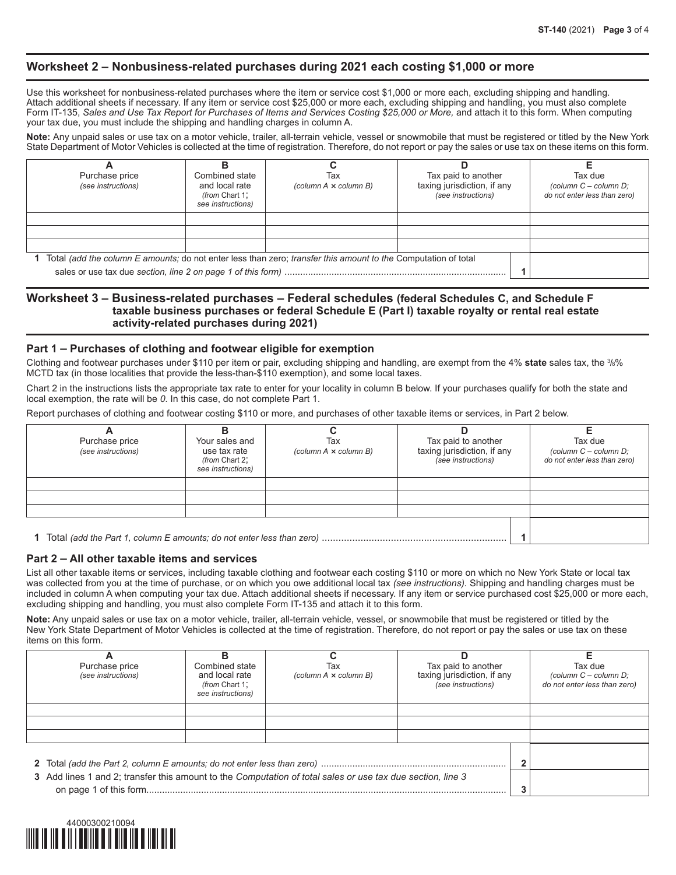# **Worksheet 2 – Nonbusiness-related purchases during 2021 each costing \$1,000 or more**

Use this worksheet for nonbusiness-related purchases where the item or service cost \$1,000 or more each, excluding shipping and handling. Attach additional sheets if necessary. If any item or service cost \$25,000 or more each, excluding shipping and handling, you must also complete Form IT-135, Sales and Use Tax Report for Purchases of Items and Services Costing \$25,000 or More, and attach it to this form. When computing your tax due, you must include the shipping and handling charges in column A.

**Note:** Any unpaid sales or use tax on a motor vehicle, trailer, all-terrain vehicle, vessel or snowmobile that must be registered or titled by the New York State Department of Motor Vehicles is collected at the time of registration. Therefore, do not report or pay the sales or use tax on these items on this form.

| Purchase price<br>(see instructions)                                                                             | Combined state<br>and local rate<br>(from Chart 1;<br>see instructions) | Tax<br>(column $A \times column B$ ) | Tax paid to another<br>taxing jurisdiction, if any<br>(see instructions) |  | Tax due<br>(column C - column D;<br>do not enter less than zero) |
|------------------------------------------------------------------------------------------------------------------|-------------------------------------------------------------------------|--------------------------------------|--------------------------------------------------------------------------|--|------------------------------------------------------------------|
|                                                                                                                  |                                                                         |                                      |                                                                          |  |                                                                  |
|                                                                                                                  |                                                                         |                                      |                                                                          |  |                                                                  |
|                                                                                                                  |                                                                         |                                      |                                                                          |  |                                                                  |
| 1 Total (add the column E amounts; do not enter less than zero; transfer this amount to the Computation of total |                                                                         |                                      |                                                                          |  |                                                                  |
|                                                                                                                  |                                                                         |                                      |                                                                          |  |                                                                  |

# **Worksheet 3 – Business-related purchases – Federal schedules (federal Schedules C, and Schedule F taxable business purchases or federal Schedule E (Part I) taxable royalty or rental real estate activity-related purchases during 2021)**

#### **Part 1 – Purchases of clothing and footwear eligible for exemption**

Clothing and footwear purchases under \$110 per item or pair, excluding shipping and handling, are exempt from the 4% **state** sales tax, the <sup>3</sup> /8% MCTD tax (in those localities that provide the less-than-\$110 exemption), and some local taxes.

Chart 2 in the instructions lists the appropriate tax rate to enter for your locality in column B below. If your purchases qualify for both the state and local exemption, the rate will be *0*. In this case, do not complete Part 1.

Report purchases of clothing and footwear costing \$110 or more, and purchases of other taxable items or services, in Part 2 below.

| Purchase price<br>(see instructions) | Your sales and<br>use tax rate<br>(from Chart 2;<br>see instructions) | Тах<br>(column $A \times column B$ ) | Tax paid to another<br>taxing jurisdiction, if any<br>(see instructions) | Tax due<br>(column C - column D;<br>do not enter less than zero) |
|--------------------------------------|-----------------------------------------------------------------------|--------------------------------------|--------------------------------------------------------------------------|------------------------------------------------------------------|
|                                      |                                                                       |                                      |                                                                          |                                                                  |
|                                      |                                                                       |                                      |                                                                          |                                                                  |

### **Part 2 – All other taxable items and services**

List all other taxable items or services, including taxable clothing and footwear each costing \$110 or more on which no New York State or local tax was collected from you at the time of purchase, or on which you owe additional local tax *(see instructions)*. Shipping and handling charges must be included in column A when computing your tax due. Attach additional sheets if necessary. If any item or service purchased cost \$25,000 or more each, excluding shipping and handling, you must also complete Form IT-135 and attach it to this form.

**Note:** Any unpaid sales or use tax on a motor vehicle, trailer, all-terrain vehicle, vessel, or snowmobile that must be registered or titled by the New York State Department of Motor Vehicles is collected at the time of registration. Therefore, do not report or pay the sales or use tax on these items on this form.

| Purchase price<br>(see instructions)                                                                       | Combined state<br>and local rate<br>(from Chart 1;<br>see instructions) | Тах<br>(column $A \times column B$ ) | Tax paid to another<br>taxing jurisdiction, if any<br>(see instructions) |  | Tax due<br>(column C - column D;<br>do not enter less than zero) |
|------------------------------------------------------------------------------------------------------------|-------------------------------------------------------------------------|--------------------------------------|--------------------------------------------------------------------------|--|------------------------------------------------------------------|
|                                                                                                            |                                                                         |                                      |                                                                          |  |                                                                  |
|                                                                                                            |                                                                         |                                      |                                                                          |  |                                                                  |
|                                                                                                            |                                                                         |                                      |                                                                          |  |                                                                  |
|                                                                                                            | c                                                                       |                                      |                                                                          |  |                                                                  |
| 3 Add lines 1 and 2; transfer this amount to the Computation of total sales or use tax due section, line 3 |                                                                         |                                      |                                                                          |  |                                                                  |